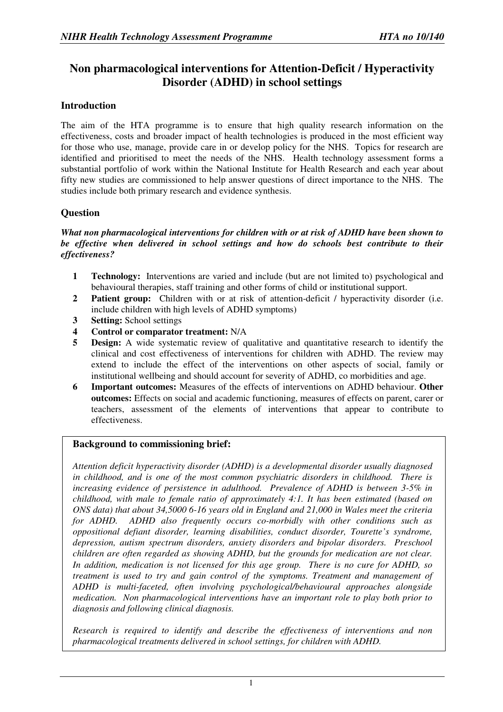# **Non pharmacological interventions for Attention-Deficit / Hyperactivity Disorder (ADHD) in school settings**

# **Introduction**

The aim of the HTA programme is to ensure that high quality research information on the effectiveness, costs and broader impact of health technologies is produced in the most efficient way for those who use, manage, provide care in or develop policy for the NHS. Topics for research are identified and prioritised to meet the needs of the NHS. Health technology assessment forms a substantial portfolio of work within the National Institute for Health Research and each year about fifty new studies are commissioned to help answer questions of direct importance to the NHS. The studies include both primary research and evidence synthesis.

# **Question**

#### *What non pharmacological interventions for children with or at risk of ADHD have been shown to be effective when delivered in school settings and how do schools best contribute to their effectiveness?*

- **1 Technology:** Interventions are varied and include (but are not limited to) psychological and behavioural therapies, staff training and other forms of child or institutional support.
- **2 Patient group:** Children with or at risk of attention-deficit / hyperactivity disorder (i.e. include children with high levels of ADHD symptoms)
- **3 Setting:** School settings
- **4 Control or comparator treatment:** N/A
- **5 Design:** A wide systematic review of qualitative and quantitative research to identify the clinical and cost effectiveness of interventions for children with ADHD. The review may extend to include the effect of the interventions on other aspects of social, family or institutional wellbeing and should account for severity of ADHD, co morbidities and age.
- **6 Important outcomes:** Measures of the effects of interventions on ADHD behaviour. **Other outcomes:** Effects on social and academic functioning, measures of effects on parent, carer or teachers, assessment of the elements of interventions that appear to contribute to effectiveness.

#### **Background to commissioning brief:**

*Attention deficit hyperactivity disorder (ADHD) is a developmental disorder usually diagnosed in childhood, and is one of the most common psychiatric disorders in childhood. There is increasing evidence of persistence in adulthood. Prevalence of ADHD is between 3-5% in childhood, with male to female ratio of approximately 4:1. It has been estimated (based on ONS data) that about 34,5000 6-16 years old in England and 21,000 in Wales meet the criteria for ADHD. ADHD also frequently occurs co-morbidly with other conditions such as oppositional defiant disorder, learning disabilities, conduct disorder, Tourette's syndrome, depression, autism spectrum disorders, anxiety disorders and bipolar disorders. Preschool children are often regarded as showing ADHD, but the grounds for medication are not clear. In addition, medication is not licensed for this age group. There is no cure for ADHD, so treatment is used to try and gain control of the symptoms. Treatment and management of ADHD is multi-faceted, often involving psychological/behavioural approaches alongside medication. Non pharmacological interventions have an important role to play both prior to diagnosis and following clinical diagnosis.* 

*Research is required to identify and describe the effectiveness of interventions and non pharmacological treatments delivered in school settings, for children with ADHD.*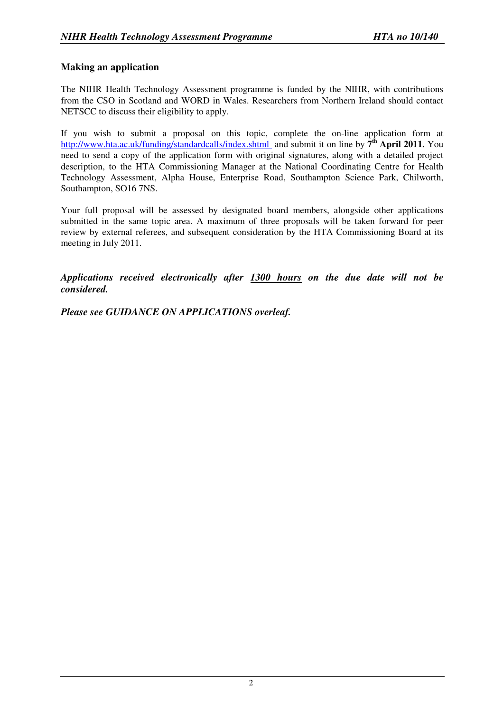# **Making an application**

The NIHR Health Technology Assessment programme is funded by the NIHR, with contributions from the CSO in Scotland and WORD in Wales. Researchers from Northern Ireland should contact NETSCC to discuss their eligibility to apply.

If you wish to submit a proposal on this topic, complete the on-line application form at http://www.hta.ac.uk/funding/standardcalls/index.shtml and submit it on line by 7<sup>th</sup> April 2011. You need to send a copy of the application form with original signatures, along with a detailed project description, to the HTA Commissioning Manager at the National Coordinating Centre for Health Technology Assessment, Alpha House, Enterprise Road, Southampton Science Park, Chilworth, Southampton, SO16 7NS.

Your full proposal will be assessed by designated board members, alongside other applications submitted in the same topic area. A maximum of three proposals will be taken forward for peer review by external referees, and subsequent consideration by the HTA Commissioning Board at its meeting in July 2011.

*Applications received electronically after 1300 hours on the due date will not be considered.* 

*Please see GUIDANCE ON APPLICATIONS overleaf.*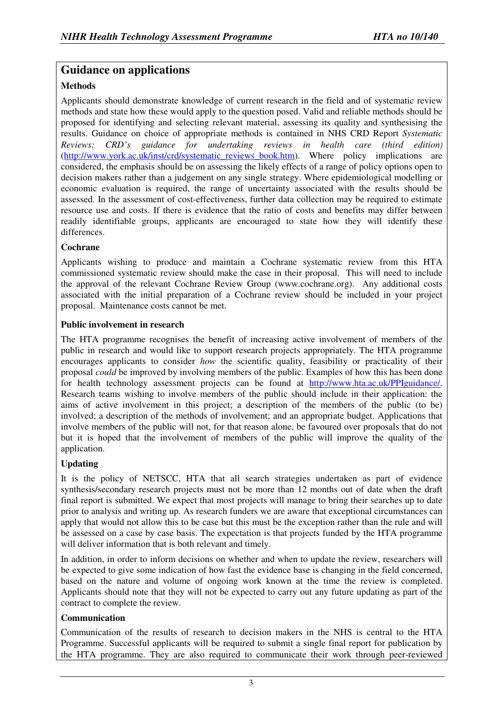# **Guidance on applications**

## **Methods**

Applicants should demonstrate knowledge of current research in the field and of systematic review methods and state how these would apply to the question posed. Valid and reliable methods should be proposed for identifying and selecting relevant material, assessing its quality and synthesising the results. Guidance on choice of appropriate methods is contained in NHS CRD Report *Systematic Reviews: CRD's guidance for undertaking reviews in health care (third edition*) (http://www.york.ac.uk/inst/crd/systematic\_reviews\_book.htm). Where policy implications are considered, the emphasis should be on assessing the likely effects of a range of policy options open to decision makers rather than a judgement on any single strategy. Where epidemiological modelling or economic evaluation is required, the range of uncertainty associated with the results should be assessed. In the assessment of cost-effectiveness, further data collection may be required to estimate resource use and costs. If there is evidence that the ratio of costs and benefits may differ between readily identifiable groups, applicants are encouraged to state how they will identify these differences.

### **Cochrane**

Applicants wishing to produce and maintain a Cochrane systematic review from this HTA commissioned systematic review should make the case in their proposal. This will need to include the approval of the relevant Cochrane Review Group (www.cochrane.org). Any additional costs associated with the initial preparation of a Cochrane review should be included in your project proposal. Maintenance costs cannot be met.

#### **Public involvement in research**

The HTA programme recognises the benefit of increasing active involvement of members of the public in research and would like to support research projects appropriately. The HTA programme encourages applicants to consider *how* the scientific quality, feasibility or practicality of their proposal *could* be improved by involving members of the public. Examples of how this has been done for health technology assessment projects can be found at http://www.hta.ac.uk/PPIguidance/. Research teams wishing to involve members of the public should include in their application: the aims of active involvement in this project; a description of the members of the public (to be) involved; a description of the methods of involvement; and an appropriate budget. Applications that involve members of the public will not, for that reason alone, be favoured over proposals that do not but it is hoped that the involvement of members of the public will improve the quality of the application.

# **Updating**

It is the policy of NETSCC, HTA that all search strategies undertaken as part of evidence synthesis/secondary research projects must not be more than 12 months out of date when the draft final report is submitted. We expect that most projects will manage to bring their searches up to date prior to analysis and writing up. As research funders we are aware that exceptional circumstances can apply that would not allow this to be case but this must be the exception rather than the rule and will be assessed on a case by case basis. The expectation is that projects funded by the HTA programme will deliver information that is both relevant and timely.

In addition, in order to inform decisions on whether and when to update the review, researchers will be expected to give some indication of how fast the evidence base is changing in the field concerned, based on the nature and volume of ongoing work known at the time the review is completed. Applicants should note that they will not be expected to carry out any future updating as part of the contract to complete the review.

#### **Communication**

Communication of the results of research to decision makers in the NHS is central to the HTA Programme. Successful applicants will be required to submit a single final report for publication by the HTA programme. They are also required to communicate their work through peer-reviewed